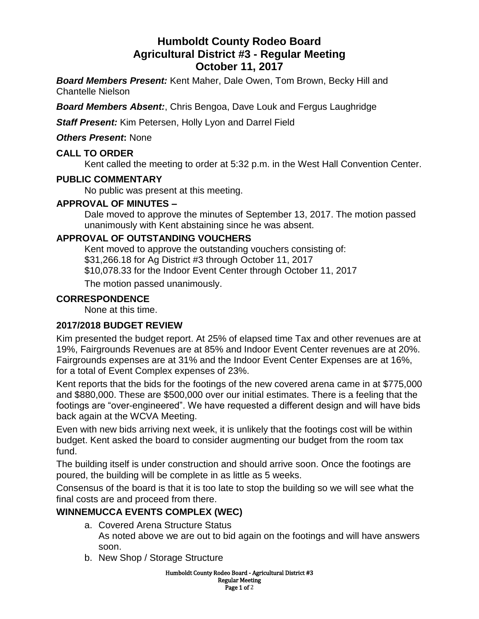# **Humboldt County Rodeo Board Agricultural District #3 - Regular Meeting October 11, 2017**

*Board Members Present:* Kent Maher, Dale Owen, Tom Brown, Becky Hill and Chantelle Nielson

*Board Members Absent:*, Chris Bengoa, Dave Louk and Fergus Laughridge

*Staff Present:* Kim Petersen, Holly Lyon and Darrel Field

*Others Present***:** None

# **CALL TO ORDER**

Kent called the meeting to order at 5:32 p.m. in the West Hall Convention Center.

# **PUBLIC COMMENTARY**

No public was present at this meeting.

# **APPROVAL OF MINUTES –**

Dale moved to approve the minutes of September 13, 2017. The motion passed unanimously with Kent abstaining since he was absent.

# **APPROVAL OF OUTSTANDING VOUCHERS**

Kent moved to approve the outstanding vouchers consisting of: \$31,266.18 for Ag District #3 through October 11, 2017 \$10,078.33 for the Indoor Event Center through October 11, 2017

The motion passed unanimously.

# **CORRESPONDENCE**

None at this time.

# **2017/2018 BUDGET REVIEW**

Kim presented the budget report. At 25% of elapsed time Tax and other revenues are at 19%, Fairgrounds Revenues are at 85% and Indoor Event Center revenues are at 20%. Fairgrounds expenses are at 31% and the Indoor Event Center Expenses are at 16%, for a total of Event Complex expenses of 23%.

Kent reports that the bids for the footings of the new covered arena came in at \$775,000 and \$880,000. These are \$500,000 over our initial estimates. There is a feeling that the footings are "over-engineered". We have requested a different design and will have bids back again at the WCVA Meeting.

Even with new bids arriving next week, it is unlikely that the footings cost will be within budget. Kent asked the board to consider augmenting our budget from the room tax fund.

The building itself is under construction and should arrive soon. Once the footings are poured, the building will be complete in as little as 5 weeks.

Consensus of the board is that it is too late to stop the building so we will see what the final costs are and proceed from there.

# **WINNEMUCCA EVENTS COMPLEX (WEC)**

- a. Covered Arena Structure Status As noted above we are out to bid again on the footings and will have answers soon.
- b. New Shop / Storage Structure

Humboldt County Rodeo Board - Agricultural District #3 Regular Meeting Page 1 of 2